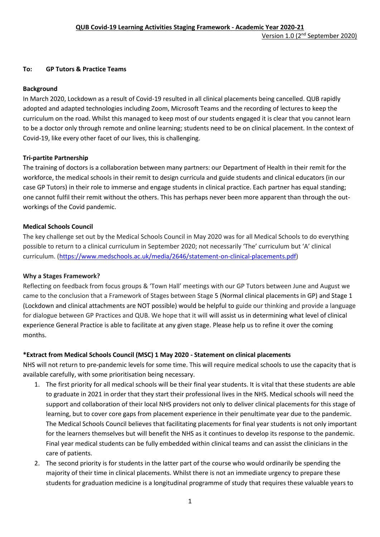### **To: GP Tutors & Practice Teams**

### **Background**

In March 2020, Lockdown as a result of Covid-19 resulted in all clinical placements being cancelled. QUB rapidly adopted and adapted technologies including Zoom, Microsoft Teams and the recording of lectures to keep the curriculum on the road. Whilst this managed to keep most of our students engaged it is clear that you cannot learn to be a doctor only through remote and online learning; students need to be on clinical placement. In the context of Covid-19, like every other facet of our lives, this is challenging.

### **Tri-partite Partnership**

The training of doctors is a collaboration between many partners: our Department of Health in their remit for the workforce, the medical schools in their remit to design curricula and guide students and clinical educators (in our case GP Tutors) in their role to immerse and engage students in clinical practice. Each partner has equal standing; one cannot fulfil their remit without the others. This has perhaps never been more apparent than through the outworkings of the Covid pandemic.

### **Medical Schools Council**

The key challenge set out by the Medical Schools Council in May 2020 was for all Medical Schools to do everything possible to return to a clinical curriculum in September 2020; not necessarily 'The' curriculum but 'A' clinical curriculum. [\(https://www.medschools.ac.uk/media/2646/statement-on-clinical-placements.pdf\)](https://www.medschools.ac.uk/media/2646/statement-on-clinical-placements.pdf)

### **Why a Stages Framework?**

Reflecting on feedback from focus groups & 'Town Hall' meetings with our GP Tutors between June and August we came to the conclusion that a Framework of Stages between Stage 5 (Normal clinical placements in GP) and Stage 1 (Lockdown and clinical attachments are NOT possible) would be helpful to guide our thinking and provide a language for dialogue between GP Practices and QUB. We hope that it will will assist us in determining what level of clinical experience General Practice is able to facilitate at any given stage. Please help us to refine it over the coming months.

# **\*Extract from Medical Schools Council (MSC) 1 May 2020 - Statement on clinical placements**

NHS will not return to pre-pandemic levels for some time. This will require medical schools to use the capacity that is available carefully, with some prioritisation being necessary.

- 1. The first priority for all medical schools will be their final year students. It is vital that these students are able to graduate in 2021 in order that they start their professional lives in the NHS. Medical schools will need the support and collaboration of their local NHS providers not only to deliver clinical placements for this stage of learning, but to cover core gaps from placement experience in their penultimate year due to the pandemic. The Medical Schools Council believes that facilitating placements for final year students is not only important for the learners themselves but will benefit the NHS as it continues to develop its response to the pandemic. Final year medical students can be fully embedded within clinical teams and can assist the clinicians in the care of patients.
- 2. The second priority is for students in the latter part of the course who would ordinarily be spending the majority of their time in clinical placements. Whilst there is not an immediate urgency to prepare these students for graduation medicine is a longitudinal programme of study that requires these valuable years to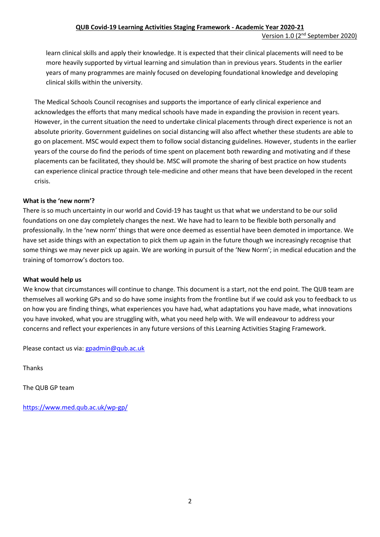learn clinical skills and apply their knowledge. It is expected that their clinical placements will need to be more heavily supported by virtual learning and simulation than in previous years. Students in the earlier years of many programmes are mainly focused on developing foundational knowledge and developing clinical skills within the university.

The Medical Schools Council recognises and supports the importance of early clinical experience and acknowledges the efforts that many medical schools have made in expanding the provision in recent years. However, in the current situation the need to undertake clinical placements through direct experience is not an absolute priority. Government guidelines on social distancing will also affect whether these students are able to go on placement. MSC would expect them to follow social distancing guidelines. However, students in the earlier years of the course do find the periods of time spent on placement both rewarding and motivating and if these placements can be facilitated, they should be. MSC will promote the sharing of best practice on how students can experience clinical practice through tele-medicine and other means that have been developed in the recent crisis.

# **What is the 'new norm'?**

There is so much uncertainty in our world and Covid-19 has taught us that what we understand to be our solid foundations on one day completely changes the next. We have had to learn to be flexible both personally and professionally. In the 'new norm' things that were once deemed as essential have been demoted in importance. We have set aside things with an expectation to pick them up again in the future though we increasingly recognise that some things we may never pick up again. We are working in pursuit of the 'New Norm'; in medical education and the training of tomorrow's doctors too.

### **What would help us**

We know that circumstances will continue to change. This document is a start, not the end point. The QUB team are themselves all working GPs and so do have some insights from the frontline but if we could ask you to feedback to us on how you are finding things, what experiences you have had, what adaptations you have made, what innovations you have invoked, what you are struggling with, what you need help with. We will endeavour to address your concerns and reflect your experiences in any future versions of this Learning Activities Staging Framework.

Please contact us via: [gpadmin@qub.ac.uk](mailto:gpadmin@qub.ac.uk)

Thanks

The QUB GP team

<https://www.med.qub.ac.uk/wp-gp/>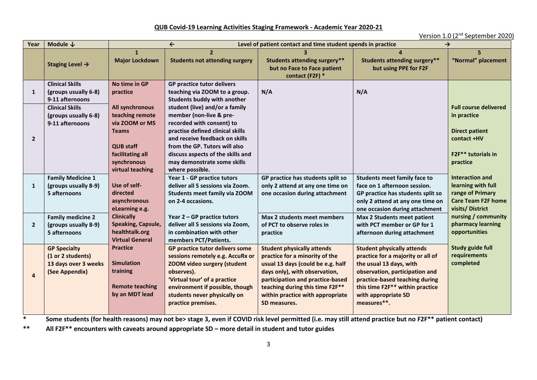#### **QUB Covid-19 Learning Activities Staging Framework - Academic Year 2020-21**

Version 1.0 (2nd September 2020)

| Year           | Module $\downarrow$                                                                | $\leftarrow$<br>Level of patient contact and time student spends in practice<br>→                                                               |                                                                                                                                                                                                                                                                                      |                                                                                                                                                                                                                                                                      |                                                                                                                                                                                                                                                |                                                                                                                                   |
|----------------|------------------------------------------------------------------------------------|-------------------------------------------------------------------------------------------------------------------------------------------------|--------------------------------------------------------------------------------------------------------------------------------------------------------------------------------------------------------------------------------------------------------------------------------------|----------------------------------------------------------------------------------------------------------------------------------------------------------------------------------------------------------------------------------------------------------------------|------------------------------------------------------------------------------------------------------------------------------------------------------------------------------------------------------------------------------------------------|-----------------------------------------------------------------------------------------------------------------------------------|
|                | Staging Level $\rightarrow$                                                        | $\mathbf{1}$<br><b>Major Lockdown</b>                                                                                                           | $\overline{\mathbf{z}}$<br><b>Students not attending surgery</b>                                                                                                                                                                                                                     | <b>Students attending surgery**</b><br>but no Face to Face patient<br>contact (F2F) *                                                                                                                                                                                | <b>Students attending surgery**</b><br>but using PPE for F2F                                                                                                                                                                                   | "Normal" placement                                                                                                                |
| 1              | <b>Clinical Skills</b><br>(groups usually 6-8)<br>9-11 afternoons                  | No time in GP<br>practice                                                                                                                       | <b>GP practice tutor delivers</b><br>teaching via ZOOM to a group.<br><b>Students buddy with another</b>                                                                                                                                                                             | N/A                                                                                                                                                                                                                                                                  | N/A                                                                                                                                                                                                                                            |                                                                                                                                   |
| $\overline{2}$ | <b>Clinical Skills</b><br>(groups usually 6-8)<br>9-11 afternoons                  | All synchronous<br>teaching remote<br>via ZOOM or MS<br><b>Teams</b><br><b>QUB staff</b><br>facilitating all<br>synchronous<br>virtual teaching | student (live) and/or a family<br>member (non-live & pre-<br>recorded with consent) to<br>practise defined clinical skills<br>and receive feedback on skills<br>from the GP. Tutors will also<br>discuss aspects of the skills and<br>may demonstrate some skills<br>where possible. |                                                                                                                                                                                                                                                                      |                                                                                                                                                                                                                                                | <b>Full course delivered</b><br>in practice<br><b>Direct patient</b><br>contact +HV<br>F2F <sup>**</sup> tutorials in<br>practice |
| 1              | <b>Family Medicine 1</b><br>(groups usually 8-9)<br>5 afternoons                   | Use of self-<br>directed<br>asynchronous<br>eLearning e.g.                                                                                      | Year 1 - GP practice tutors<br>deliver all 5 sessions via Zoom.<br><b>Students meet family via ZOOM</b><br>on 2-4 occasions.                                                                                                                                                         | GP practice has students split so<br>only 2 attend at any one time on<br>one occasion during attachment                                                                                                                                                              | <b>Students meet family face to</b><br>face on 1 afternoon session.<br>GP practice has students split so<br>only 2 attend at any one time on<br>one occasion during attachment                                                                 | Interaction and<br>learning with full<br>range of Primary<br><b>Care Team F2F home</b><br>visits/District                         |
| $\overline{2}$ | <b>Family medicine 2</b><br>(groups usually 8-9)<br>5 afternoons                   | <b>Clinically</b><br>Speaking, Capsule,<br>healthtalk.org<br><b>Virtual General</b>                                                             | Year $2 - GP$ practice tutors<br>deliver all 5 sessions via Zoom,<br>in combination with other<br>members PCT/Patients.                                                                                                                                                              | Max 2 students meet members<br>of PCT to observe roles in<br>practice                                                                                                                                                                                                | <b>Max 2 Students meet patient</b><br>with PCT member or GP for 1<br>afternoon during attachment                                                                                                                                               | nursing / community<br>pharmacy learning<br>opportunities                                                                         |
| $\overline{a}$ | <b>GP Specialty</b><br>(1 or 2 students)<br>13 days over 3 weeks<br>(See Appendix) | <b>Practice</b><br><b>Simulation</b><br>training<br><b>Remote teaching</b><br>by an MDT lead                                                    | GP practice tutor delivers some<br>sessions remotely e.g. AccuRx or<br><b>ZOOM video surgery (student</b><br>observes).<br>'Virtual tour' of a practice<br>environment if possible, though<br>students never physically on<br>practice premises.                                     | <b>Student physically attends</b><br>practice for a minority of the<br>usual 13 days (could be e.g. half<br>days only), with observation,<br>participation and practice-based<br>teaching during this time F2F**<br>within practice with appropriate<br>SD measures. | <b>Student physically attends</b><br>practice for a majority or all of<br>the usual 13 days, with<br>observation, participation and<br>practice-based teaching during<br>this time F2F** within practice<br>with appropriate SD<br>measures**. | <b>Study guide full</b><br>requirements<br>completed                                                                              |

**\* Some students (for health reasons) may not be> stage 3, even if COVID risk level permitted (i.e. may still attend practice but no F2F\*\* patient contact)**

**\*\* All F2F\*\* encounters with caveats around appropriate SD – more detail in student and tutor guides**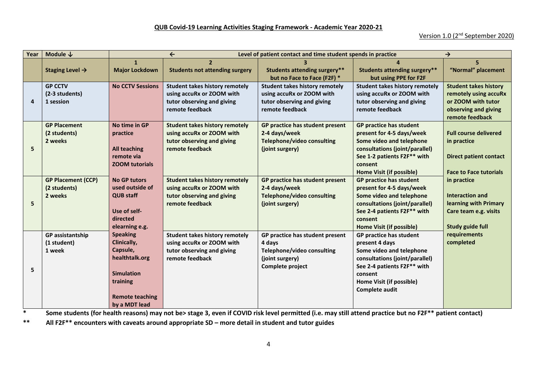#### **QUB Covid-19 Learning Activities Staging Framework - Academic Year 2020-21**

### Version 1.0 (2nd September 2020)

| Year | Module $\downarrow$         | $\leftarrow$<br>Level of patient contact and time student spends in practice<br>$\rightarrow$ |                                               |                                                                    |                                                              |                               |
|------|-----------------------------|-----------------------------------------------------------------------------------------------|-----------------------------------------------|--------------------------------------------------------------------|--------------------------------------------------------------|-------------------------------|
|      |                             | $\mathbf{1}$<br><b>Major Lockdown</b>                                                         | $\overline{\mathbf{z}}$                       |                                                                    |                                                              |                               |
|      | Staging Level $\rightarrow$ |                                                                                               | <b>Students not attending surgery</b>         | <b>Students attending surgery**</b><br>but no Face to Face (F2F) * | <b>Students attending surgery**</b><br>but using PPE for F2F | "Normal" placement            |
|      | <b>GP CCTV</b>              | <b>No CCTV Sessions</b>                                                                       | <b>Student takes history remotely</b>         | <b>Student takes history remotely</b>                              | <b>Student takes history remotely</b>                        | <b>Student takes history</b>  |
|      | (2-3 students)              |                                                                                               | using accuRx or ZOOM with                     | using accuRx or ZOOM with                                          | using accuRx or ZOOM with                                    | remotely using accuRx         |
| 4    | 1 session                   |                                                                                               | tutor observing and giving                    | tutor observing and giving                                         | tutor observing and giving                                   | or ZOOM with tutor            |
|      |                             |                                                                                               | remote feedback                               | remote feedback                                                    | remote feedback                                              | observing and giving          |
|      |                             |                                                                                               |                                               |                                                                    |                                                              | remote feedback               |
|      | <b>GP Placement</b>         | No time in GP                                                                                 | <b>Student takes history remotely</b>         | GP practice has student present                                    | GP practice has student                                      |                               |
|      | (2 students)                | practice                                                                                      | using accuRx or ZOOM with                     | 2-4 days/week                                                      | present for 4-5 days/week                                    | <b>Full course delivered</b>  |
| 5    | 2 weeks                     |                                                                                               | tutor observing and giving<br>remote feedback | <b>Telephone/video consulting</b>                                  | Some video and telephone<br>consultations (joint/parallel)   | in practice                   |
|      |                             | <b>All teaching</b><br>remote via                                                             |                                               | (joint surgery)                                                    | See 1-2 patients F2F** with                                  | <b>Direct patient contact</b> |
|      |                             | <b>ZOOM tutorials</b>                                                                         |                                               |                                                                    | consent                                                      |                               |
|      |                             |                                                                                               |                                               |                                                                    | Home Visit (if possible)                                     | <b>Face to Face tutorials</b> |
|      | <b>GP Placement (CCP)</b>   | <b>No GP tutors</b>                                                                           | <b>Student takes history remotely</b>         | GP practice has student present                                    | <b>GP practice has student</b>                               | in practice                   |
|      | (2 students)                | used outside of                                                                               | using accuRx or ZOOM with                     | 2-4 days/week                                                      | present for 4-5 days/week                                    |                               |
|      | 2 weeks                     | <b>QUB staff</b>                                                                              | tutor observing and giving                    | <b>Telephone/video consulting</b>                                  | Some video and telephone                                     | Interaction and               |
| 5    |                             |                                                                                               | remote feedback                               | (joint surgery)                                                    | consultations (joint/parallel)                               | learning with Primary         |
|      |                             | Use of self-                                                                                  |                                               |                                                                    | See 2-4 patients F2F** with                                  | Care team e.g. visits         |
|      |                             | directed                                                                                      |                                               |                                                                    | consent                                                      |                               |
|      |                             | elearning e.g.                                                                                |                                               |                                                                    | Home Visit (if possible)                                     | <b>Study guide full</b>       |
|      | <b>GP</b> assistantship     | <b>Speaking</b>                                                                               | <b>Student takes history remotely</b>         | GP practice has student present                                    | GP practice has student                                      | requirements                  |
|      | (1 student)                 | Clinically,                                                                                   | using accuRx or ZOOM with                     | 4 days                                                             | present 4 days                                               | completed                     |
|      | 1 week                      | Capsule,                                                                                      | tutor observing and giving                    | Telephone/video consulting                                         | Some video and telephone                                     |                               |
|      |                             | healthtalk.org                                                                                | remote feedback                               | (joint surgery)                                                    | consultations (joint/parallel)                               |                               |
| 5    |                             |                                                                                               |                                               | Complete project                                                   | See 2-4 patients F2F** with                                  |                               |
|      |                             | <b>Simulation</b>                                                                             |                                               |                                                                    | consent                                                      |                               |
|      |                             | training                                                                                      |                                               |                                                                    | Home Visit (if possible)                                     |                               |
|      |                             |                                                                                               |                                               |                                                                    | Complete audit                                               |                               |
|      |                             | <b>Remote teaching</b>                                                                        |                                               |                                                                    |                                                              |                               |
|      |                             | by a MDT lead                                                                                 |                                               |                                                                    |                                                              |                               |

**\* Some students (for health reasons) may not be> stage 3, even if COVID risk level permitted (i.e. may still attend practice but no F2F\*\* patient contact)**

**\*\* All F2F\*\* encounters with caveats around appropriate SD – more detail in student and tutor guides**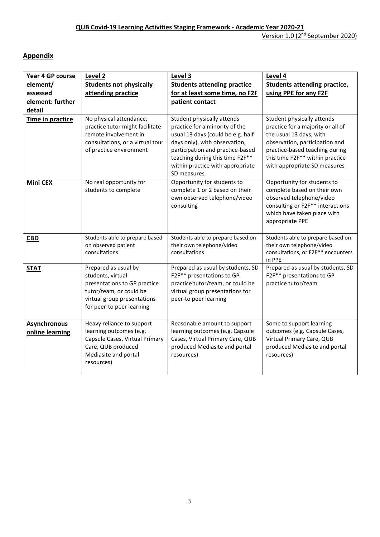# **Appendix**

| Year 4 GP course<br>element/<br>assessed<br>element: further<br>detail | Level 2<br><b>Students not physically</b><br>attending practice                                                                                                  | Level 3<br><b>Students attending practice</b><br>for at least some time, no F2F<br>patient contact                                                                                                                                                           | Level 4<br><b>Students attending practice,</b><br>using PPE for any F2F                                                                                                                                                           |
|------------------------------------------------------------------------|------------------------------------------------------------------------------------------------------------------------------------------------------------------|--------------------------------------------------------------------------------------------------------------------------------------------------------------------------------------------------------------------------------------------------------------|-----------------------------------------------------------------------------------------------------------------------------------------------------------------------------------------------------------------------------------|
| Time in practice                                                       | No physical attendance,<br>practice tutor might facilitate<br>remote involvement in<br>consultations, or a virtual tour<br>of practice environment               | Student physically attends<br>practice for a minority of the<br>usual 13 days (could be e.g. half<br>days only), with observation,<br>participation and practice-based<br>teaching during this time F2F**<br>within practice with appropriate<br>SD measures | Student physically attends<br>practice for a majority or all of<br>the usual 13 days, with<br>observation, participation and<br>practice-based teaching during<br>this time F2F** within practice<br>with appropriate SD measures |
| <b>Mini CEX</b>                                                        | No real opportunity for<br>students to complete                                                                                                                  | Opportunity for students to<br>complete 1 or 2 based on their<br>own observed telephone/video<br>consulting                                                                                                                                                  | Opportunity for students to<br>complete based on their own<br>observed telephone/video<br>consulting or F2F** interactions<br>which have taken place with<br>appropriate PPE                                                      |
| <b>CBD</b>                                                             | Students able to prepare based<br>on observed patient<br>consultations                                                                                           | Students able to prepare based on<br>their own telephone/video<br>consultations                                                                                                                                                                              | Students able to prepare based on<br>their own telephone/video<br>consultations, or F2F** encounters<br>in PPE                                                                                                                    |
| <b>STAT</b>                                                            | Prepared as usual by<br>students, virtual<br>presentations to GP practice<br>tutor/team, or could be<br>virtual group presentations<br>for peer-to peer learning | Prepared as usual by students, SD<br>F2F** presentations to GP<br>practice tutor/team, or could be<br>virtual group presentations for<br>peer-to peer learning                                                                                               | Prepared as usual by students, SD<br>F2F** presentations to GP<br>practice tutor/team                                                                                                                                             |
| <b>Asynchronous</b><br>online learning                                 | Heavy reliance to support<br>learning outcomes (e.g.<br>Capsule Cases, Virtual Primary<br>Care, QUB produced<br>Mediasite and portal<br>resources)               | Reasonable amount to support<br>learning outcomes (e.g. Capsule<br>Cases, Virtual Primary Care, QUB<br>produced Mediasite and portal<br>resources)                                                                                                           | Some to support learning<br>outcomes (e.g. Capsule Cases,<br>Virtual Primary Care, QUB<br>produced Mediasite and portal<br>resources)                                                                                             |